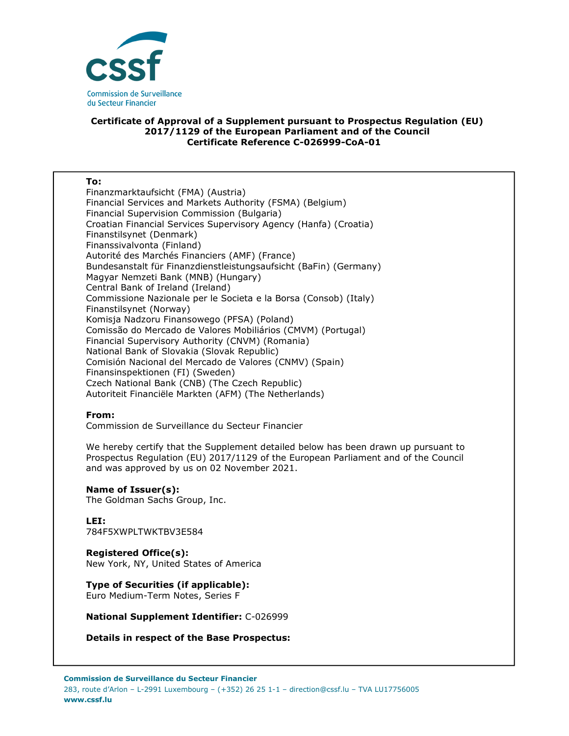

### **Certificate of Approval of a Supplement pursuant to Prospectus Regulation (EU) 2017/1129 of the European Parliament and of the Council Certificate Reference C-026999-CoA-01**

#### **To:**

Finanzmarktaufsicht (FMA) (Austria) Financial Services and Markets Authority (FSMA) (Belgium) Financial Supervision Commission (Bulgaria) Croatian Financial Services Supervisory Agency (Hanfa) (Croatia) Finanstilsynet (Denmark) Finanssivalvonta (Finland) Autorité des Marchés Financiers (AMF) (France) Bundesanstalt für Finanzdienstleistungsaufsicht (BaFin) (Germany) Magyar Nemzeti Bank (MNB) (Hungary) Central Bank of Ireland (Ireland) Commissione Nazionale per le Societa e la Borsa (Consob) (Italy) Finanstilsynet (Norway) Komisja Nadzoru Finansowego (PFSA) (Poland) Comissão do Mercado de Valores Mobiliários (CMVM) (Portugal) Financial Supervisory Authority (CNVM) (Romania) National Bank of Slovakia (Slovak Republic) Comisión Nacional del Mercado de Valores (CNMV) (Spain) Finansinspektionen (FI) (Sweden) Czech National Bank (CNB) (The Czech Republic) Autoriteit Financiële Markten (AFM) (The Netherlands)

### **From:**

Commission de Surveillance du Secteur Financier

We hereby certify that the Supplement detailed below has been drawn up pursuant to Prospectus Regulation (EU) 2017/1129 of the European Parliament and of the Council and was approved by us on 02 November 2021.

### **Name of Issuer(s):**

The Goldman Sachs Group, Inc.

# **LEI:**

784F5XWPLTWKTBV3E584

### **Registered Office(s):**

New York, NY, United States of America

# **Type of Securities (if applicable):**

Euro Medium-Term Notes, Series F

### **National Supplement Identifier:** C-026999

**Details in respect of the Base Prospectus:**